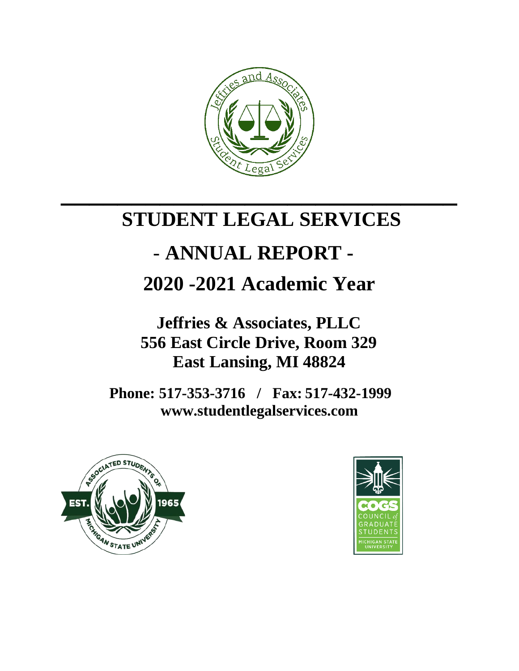

# **STUDENT LEGAL SERVICES**

**\_\_\_\_\_\_\_\_\_\_\_\_\_\_\_\_\_\_\_\_\_\_\_\_\_\_\_\_**

# - **ANNUAL REPORT -**

# **2020 -2021 Academic Year**

**Jeffries & Associates, PLLC 556 East Circle Drive, Room 329 East Lansing, MI 48824**

**Phone: 517-353-3716 / Fax: 517-432-1999 www.studentlegalservices.com**



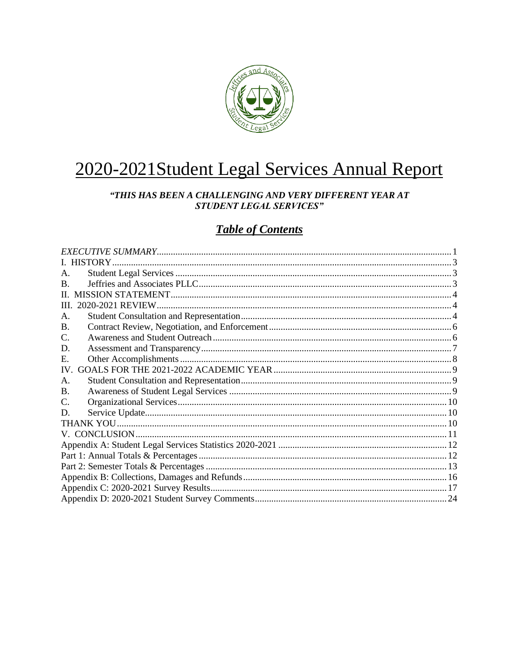

# 2020-2021 Student Legal Services Annual Report

#### "THIS HAS BEEN A CHALLENGING AND VERY DIFFERENT YEAR AT **STUDENT LEGAL SERVICES"**

## **Table of Contents**

| A.           |  |
|--------------|--|
| <sub>R</sub> |  |
| $\Pi$        |  |
| III.         |  |
| A.           |  |
| B.           |  |
| C.           |  |
| D.           |  |
| E.           |  |
| $IV_{-}$     |  |
| A.           |  |
| <b>B.</b>    |  |
| C.           |  |
| D.           |  |
|              |  |
|              |  |
|              |  |
|              |  |
|              |  |
|              |  |
|              |  |
|              |  |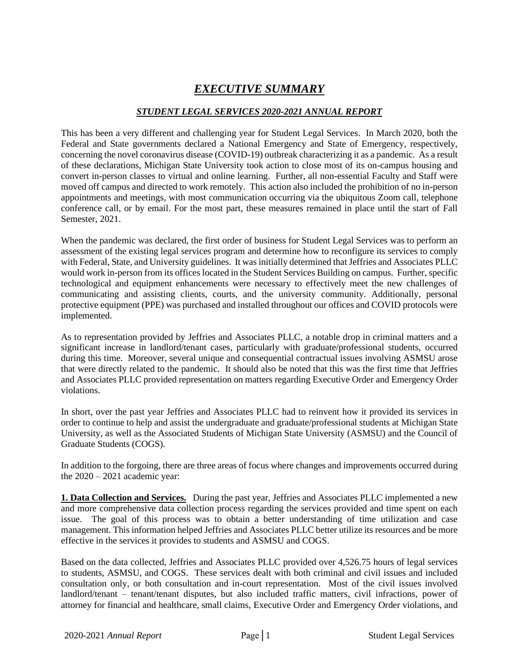## *EXECUTIVE SUMMARY*

#### *STUDENT LEGAL SERVICES 2020-2021 ANNUAL REPORT*

<span id="page-2-0"></span>This has been a very different and challenging year for Student Legal Services. In March 2020, both the Federal and State governments declared a National Emergency and State of Emergency, respectively, concerning the novel coronavirus disease (COVID-19) outbreak characterizing it as a pandemic. As a result of these declarations, Michigan State University took action to close most of its on-campus housing and convert in-person classes to virtual and online learning. Further, all non-essential Faculty and Staff were moved off campus and directed to work remotely. This action also included the prohibition of no in-person appointments and meetings, with most communication occurring via the ubiquitous Zoom call, telephone conference call, or by email. For the most part, these measures remained in place until the start of Fall Semester, 2021.

When the pandemic was declared, the first order of business for Student Legal Services was to perform an assessment of the existing legal services program and determine how to reconfigure its services to comply with Federal, State, and University guidelines. It was initially determined that Jeffries and Associates PLLC would work in-person from its offices located in the Student Services Building on campus. Further, specific technological and equipment enhancements were necessary to effectively meet the new challenges of communicating and assisting clients, courts, and the university community. Additionally, personal protective equipment (PPE) was purchased and installed throughout our offices and COVID protocols were implemented.

As to representation provided by Jeffries and Associates PLLC, a notable drop in criminal matters and a significant increase in landlord/tenant cases, particularly with graduate/professional students, occurred during this time. Moreover, several unique and consequential contractual issues involving ASMSU arose that were directly related to the pandemic. It should also be noted that this was the first time that Jeffries and Associates PLLC provided representation on matters regarding Executive Order and Emergency Order violations.

In short, over the past year Jeffries and Associates PLLC had to reinvent how it provided its services in order to continue to help and assist the undergraduate and graduate/professional students at Michigan State University, as well as the Associated Students of Michigan State University (ASMSU) and the Council of Graduate Students (COGS).

In addition to the forgoing, there are three areas of focus where changes and improvements occurred during the 2020 – 2021 academic year:

**1. Data Collection and Services.** During the past year, Jeffries and Associates PLLC implemented a new and more comprehensive data collection process regarding the services provided and time spent on each issue. The goal of this process was to obtain a better understanding of time utilization and case management. This information helped Jeffries and Associates PLLC better utilize its resources and be more effective in the services it provides to students and ASMSU and COGS.

Based on the data collected, Jeffries and Associates PLLC provided over 4,526.75 hours of legal services to students, ASMSU, and COGS. These services dealt with both criminal and civil issues and included consultation only, or both consultation and in-court representation. Most of the civil issues involved landlord/tenant – tenant/tenant disputes, but also included traffic matters, civil infractions, power of attorney for financial and healthcare, small claims, Executive Order and Emergency Order violations, and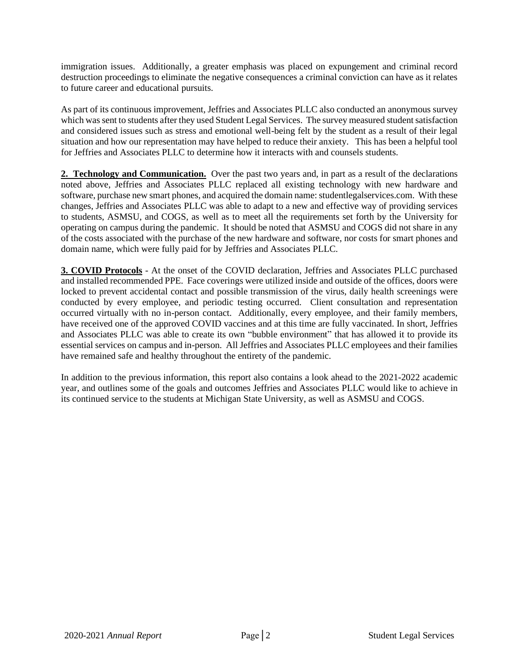immigration issues. Additionally, a greater emphasis was placed on expungement and criminal record destruction proceedings to eliminate the negative consequences a criminal conviction can have as it relates to future career and educational pursuits.

As part of its continuous improvement, Jeffries and Associates PLLC also conducted an anonymous survey which wassent to students after they used Student Legal Services. The survey measured student satisfaction and considered issues such as stress and emotional well-being felt by the student as a result of their legal situation and how our representation may have helped to reduce their anxiety. This has been a helpful tool for Jeffries and Associates PLLC to determine how it interacts with and counsels students.

**2. Technology and Communication.** Over the past two years and, in part as a result of the declarations noted above, Jeffries and Associates PLLC replaced all existing technology with new hardware and software, purchase new smart phones, and acquired the domain name: studentlegalservices.com. With these changes, Jeffries and Associates PLLC was able to adapt to a new and effective way of providing services to students, ASMSU, and COGS, as well as to meet all the requirements set forth by the University for operating on campus during the pandemic. It should be noted that ASMSU and COGS did not share in any of the costs associated with the purchase of the new hardware and software, nor costs for smart phones and domain name, which were fully paid for by Jeffries and Associates PLLC.

**3. COVID Protocols** - At the onset of the COVID declaration, Jeffries and Associates PLLC purchased and installed recommended PPE. Face coverings were utilized inside and outside of the offices, doors were locked to prevent accidental contact and possible transmission of the virus, daily health screenings were conducted by every employee, and periodic testing occurred. Client consultation and representation occurred virtually with no in-person contact. Additionally, every employee, and their family members, have received one of the approved COVID vaccines and at this time are fully vaccinated. In short, Jeffries and Associates PLLC was able to create its own "bubble environment" that has allowed it to provide its essential services on campus and in-person. All Jeffries and Associates PLLC employees and their families have remained safe and healthy throughout the entirety of the pandemic.

In addition to the previous information, this report also contains a look ahead to the 2021-2022 academic year, and outlines some of the goals and outcomes Jeffries and Associates PLLC would like to achieve in its continued service to the students at Michigan State University, as well as ASMSU and COGS.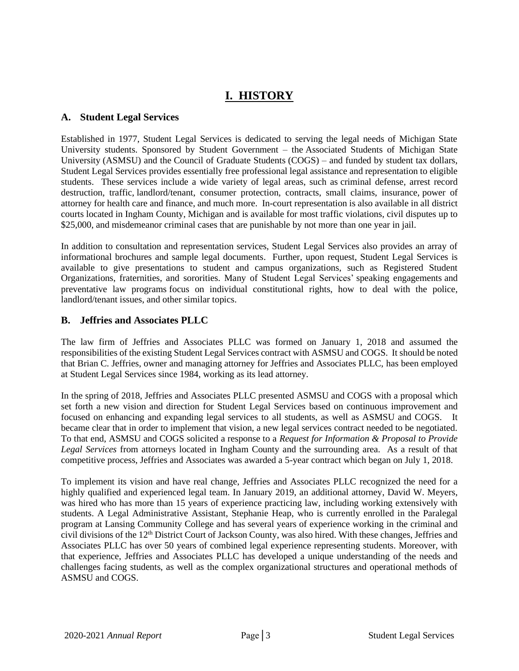## **I. HISTORY**

#### <span id="page-4-1"></span><span id="page-4-0"></span>**A. Student Legal Services**

Established in 1977, Student Legal Services is dedicated to serving the legal needs of Michigan State University students. Sponsored by Student Government – the [Associated Students of Michigan State](http://asmsu.msu.edu/)  [University](http://asmsu.msu.edu/) (ASMSU) and the [Council of Graduate Students](http://cogs.msu.edu/) (COGS) – and funded by student tax dollars, Student Legal Services provides essentially free professional legal assistance and representation to eligible students. These services include a wide variety of legal areas, such as [criminal defense,](http://studentlegalservices.com/criminal--civil-infraction-defense.html) arrest record destruction, traffic, [landlord/tenant,](http://studentlegalservices.com/landlord-and-tenant-issues.html) consumer protection, contracts, small claims, insurance, [power of](http://studentlegalservices.com/power-of-attorney.html)  [attorney](http://studentlegalservices.com/power-of-attorney.html) for health care and finance, and much more. In-court representation is also available in all district courts located in Ingham County, Michigan and is available for most traffic violations, civil disputes up to \$25,000, and misdemeanor criminal cases that are punishable by not more than one year in jail.

In addition to consultation and representation services, Student Legal Services also provides an array of informational brochures and sample legal documents. Further, upon request, Student Legal Services is available to give presentations to student and campus organizations, such as Registered Student Organizations, fraternities, and sororities. Many of Student Legal Services' [speaking engagements](http://studentlegalservices.com/speaking-engagements-preventative-law-programs--resource-fairs.html) [and](http://studentlegalservices.com/speaking-engagements-preventative-law-programs--resource-fairs.html)  [preventative law programs](http://studentlegalservices.com/speaking-engagements-preventative-law-programs--resource-fairs.html) focus on individual constitutional rights, how to deal with the police, landlord/tenant issues, and other similar topics.

#### <span id="page-4-2"></span>**B. Jeffries and Associates PLLC**

The law firm of Jeffries and Associates PLLC was formed on January 1, 2018 and assumed the responsibilities of the existing Student Legal Services contract with ASMSU and COGS. It should be noted that Brian C. Jeffries, owner and managing attorney for Jeffries and Associates PLLC, has been employed at Student Legal Services since 1984, working as its lead attorney.

In the spring of 2018, Jeffries and Associates PLLC presented ASMSU and COGS with a proposal which set forth a new vision and direction for Student Legal Services based on continuous improvement and focused on enhancing and expanding legal services to all students, as well as ASMSU and COGS. It became clear that in order to implement that vision, a new legal services contract needed to be negotiated. To that end, ASMSU and COGS solicited a response to a *Request for Information & Proposal to Provide Legal Services* from attorneys located in Ingham County and the surrounding area. As a result of that competitive process, Jeffries and Associates was awarded a 5-year contract which began on July 1, 2018.

To implement its vision and have real change, Jeffries and Associates PLLC recognized the need for a highly qualified and experienced legal team. In January 2019, an additional attorney, David W. Meyers, was hired who has more than 15 years of experience practicing law, including working extensively with students. A Legal Administrative Assistant, Stephanie Heap, who is currently enrolled in the Paralegal program at Lansing Community College and has several years of experience working in the criminal and civil divisions of the 12<sup>th</sup> District Court of Jackson County, was also hired. With these changes, Jeffries and Associates PLLC has over 50 years of combined legal experience representing students. Moreover, with that experience, Jeffries and Associates PLLC has developed a unique understanding of the needs and challenges facing students, as well as the complex organizational structures and operational methods of ASMSU and COGS.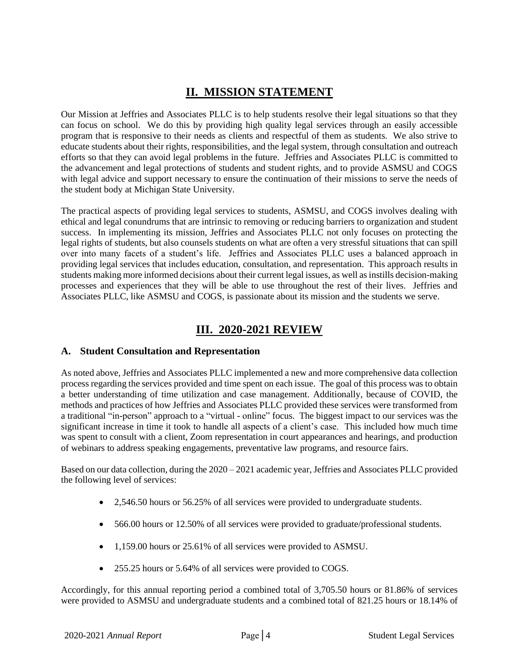## **II. MISSION STATEMENT**

<span id="page-5-0"></span>Our Mission at Jeffries and Associates PLLC is to help students resolve their legal situations so that they can focus on school. We do this by providing high quality legal services through an easily accessible program that is responsive to their needs as clients and respectful of them as students. We also strive to educate students about their rights, responsibilities, and the legal system, through consultation and outreach efforts so that they can avoid legal problems in the future. Jeffries and Associates PLLC is committed to the advancement and legal protections of students and student rights, and to provide ASMSU and COGS with legal advice and support necessary to ensure the continuation of their missions to serve the needs of the student body at Michigan State University.

The practical aspects of providing legal services to students, ASMSU, and COGS involves dealing with ethical and legal conundrums that are intrinsic to removing or reducing barriers to organization and student success. In implementing its mission, Jeffries and Associates PLLC not only focuses on protecting the legal rights of students, but also counsels students on what are often a very stressful situations that can spill over into many facets of a student's life. Jeffries and Associates PLLC uses a balanced approach in providing legal services that includes education, consultation, and representation. This approach results in students making more informed decisions about their current legal issues, as well as instills decision-making processes and experiences that they will be able to use throughout the rest of their lives. Jeffries and Associates PLLC, like ASMSU and COGS, is passionate about its mission and the students we serve.

### **III. 2020-2021 REVIEW**

#### <span id="page-5-2"></span><span id="page-5-1"></span>**A. Student Consultation and Representation**

As noted above, Jeffries and Associates PLLC implemented a new and more comprehensive data collection process regarding the services provided and time spent on each issue. The goal of this process was to obtain a better understanding of time utilization and case management. Additionally, because of COVID, the methods and practices of how Jeffries and Associates PLLC provided these services were transformed from a traditional "in-person" approach to a "virtual - online" focus. The biggest impact to our services was the significant increase in time it took to handle all aspects of a client's case. This included how much time was spent to consult with a client, Zoom representation in court appearances and hearings, and production of webinars to address speaking engagements, preventative law programs, and resource fairs.

Based on our data collection, during the  $2020 - 2021$  academic year, Jeffries and Associates PLLC provided the following level of services:

- 2,546.50 hours or 56.25% of all services were provided to undergraduate students.
- 566.00 hours or 12.50% of all services were provided to graduate/professional students.
- 1,159.00 hours or 25.61% of all services were provided to ASMSU.
- 255.25 hours or 5.64% of all services were provided to COGS.

Accordingly, for this annual reporting period a combined total of 3,705.50 hours or 81.86% of services were provided to ASMSU and undergraduate students and a combined total of 821.25 hours or 18.14% of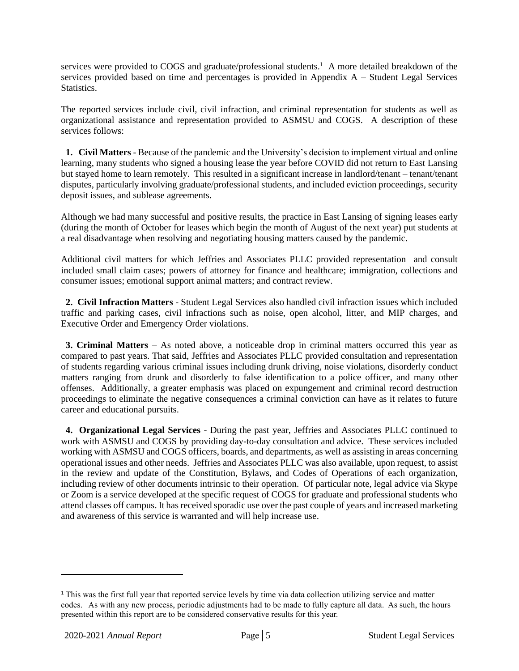services were provided to COGS and graduate/professional students.<sup>1</sup> A more detailed breakdown of the services provided based on time and percentages is provided in Appendix A – Student Legal Services **Statistics** 

The reported services include civil, civil infraction, and criminal representation for students as well as organizational assistance and representation provided to ASMSU and COGS. A description of these services follows:

 **1. Civil Matters** - Because of the pandemic and the University's decision to implement virtual and online learning, many students who signed a housing lease the year before COVID did not return to East Lansing but stayed home to learn remotely. This resulted in a significant increase in landlord/tenant – tenant/tenant disputes, particularly involving graduate/professional students, and included eviction proceedings, security deposit issues, and sublease agreements.

Although we had many successful and positive results, the practice in East Lansing of signing leases early (during the month of October for leases which begin the month of August of the next year) put students at a real disadvantage when resolving and negotiating housing matters caused by the pandemic.

Additional civil matters for which Jeffries and Associates PLLC provided representation and consult included small claim cases; powers of attorney for finance and healthcare; immigration, collections and consumer issues; emotional support animal matters; and contract review.

 **2. Civil Infraction Matters** - Student Legal Services also handled civil infraction issues which included traffic and parking cases, civil infractions such as noise, open alcohol, litter, and MIP charges, and Executive Order and Emergency Order violations.

 **3. Criminal Matters** – As noted above, a noticeable drop in criminal matters occurred this year as compared to past years. That said, Jeffries and Associates PLLC provided consultation and representation of students regarding various criminal issues including drunk driving, noise violations, disorderly conduct matters ranging from drunk and disorderly to false identification to a police officer, and many other offenses. Additionally, a greater emphasis was placed on expungement and criminal record destruction proceedings to eliminate the negative consequences a criminal conviction can have as it relates to future career and educational pursuits.

 **4. Organizational Legal Services** - During the past year, Jeffries and Associates PLLC continued to work with ASMSU and COGS by providing day-to-day consultation and advice. These services included working with ASMSU and COGS officers, boards, and departments, as well as assisting in areas concerning operational issues and other needs. Jeffries and Associates PLLC was also available, upon request, to assist in the review and update of the Constitution, Bylaws, and Codes of Operations of each organization, including review of other documents intrinsic to their operation. Of particular note, legal advice via Skype or Zoom is a service developed at the specific request of COGS for graduate and professional students who attend classes off campus. It has received sporadic use over the past couple of years and increased marketing and awareness of this service is warranted and will help increase use.

<sup>&</sup>lt;sup>1</sup> This was the first full year that reported service levels by time via data collection utilizing service and matter codes. As with any new process, periodic adjustments had to be made to fully capture all data. As such, the hours presented within this report are to be considered conservative results for this year.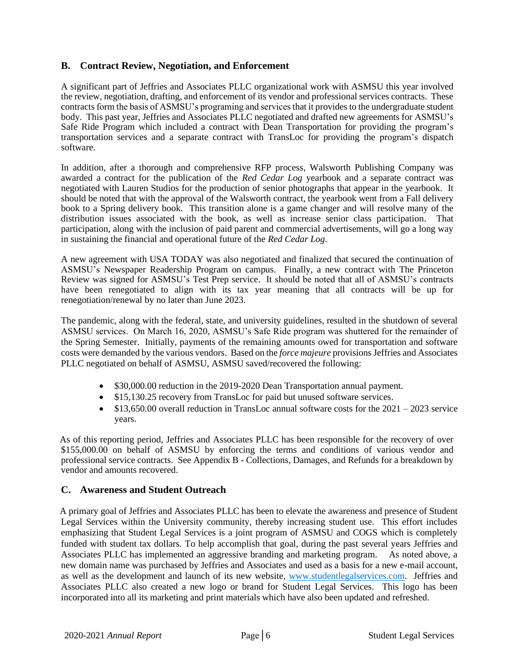#### <span id="page-7-0"></span>**B. Contract Review, Negotiation, and Enforcement**

A significant part of Jeffries and Associates PLLC organizational work with ASMSU this year involved the review, negotiation, drafting, and enforcement of its vendor and professional services contracts. These contracts form the basis of ASMSU's programing and services that it provides to the undergraduate student body. This past year, Jeffries and Associates PLLC negotiated and drafted new agreements for ASMSU's Safe Ride Program which included a contract with Dean Transportation for providing the program's transportation services and a separate contract with TransLoc for providing the program's dispatch software.

In addition, after a thorough and comprehensive RFP process, Walsworth Publishing Company was awarded a contract for the publication of the *Red Cedar Log* yearbook and a separate contract was negotiated with Lauren Studios for the production of senior photographs that appear in the yearbook. It should be noted that with the approval of the Walsworth contract, the yearbook went from a Fall delivery book to a Spring delivery book. This transition alone is a game changer and will resolve many of the distribution issues associated with the book, as well as increase senior class participation. That participation, along with the inclusion of paid parent and commercial advertisements, will go a long way in sustaining the financial and operational future of the *Red Cedar Log*.

A new agreement with USA TODAY was also negotiated and finalized that secured the continuation of ASMSU's Newspaper Readership Program on campus. Finally, a new contract with The Princeton Review was signed for ASMSU's Test Prep service. It should be noted that all of ASMSU's contracts have been renegotiated to align with its tax year meaning that all contracts will be up for renegotiation/renewal by no later than June 2023.

The pandemic, along with the federal, state, and university guidelines, resulted in the shutdown of several ASMSU services. On March 16, 2020, ASMSU's Safe Ride program was shuttered for the remainder of the Spring Semester. Initially, payments of the remaining amounts owed for transportation and software costs were demanded by the various vendors. Based on the *force majeure* provisions Jeffries and Associates PLLC negotiated on behalf of ASMSU, ASMSU saved/recovered the following:

- \$30,000.00 reduction in the 2019-2020 Dean Transportation annual payment.
- \$15,130.25 recovery from TransLoc for paid but unused software services.
- \$13,650.00 overall reduction in TransLoc annual software costs for the 2021 2023 service years.

 As of this reporting period, Jeffries and Associates PLLC has been responsible for the recovery of over \$155,000.00 on behalf of ASMSU by enforcing the terms and conditions of various vendor and professional service contracts. See Appendix B - Collections, Damages, and Refunds for a breakdown by vendor and amounts recovered.

#### <span id="page-7-1"></span>**C. Awareness and Student Outreach**

 A primary goal of Jeffries and Associates PLLC has been to elevate the awareness and presence of Student Legal Services within the University community, thereby increasing student use. This effort includes emphasizing that Student Legal Services is a joint program of ASMSU and COGS which is completely funded with student tax dollars. To help accomplish that goal, during the past several years Jeffries and Associates PLLC has implemented an aggressive branding and marketing program. As noted above, a new domain name was purchased by Jeffries and Associates and used as a basis for a new e-mail account, as well as the development and launch of its new website, www.studentlegalservices.com. Jeffries and Associates PLLC also created a new logo or brand for Student Legal Services. This logo has been incorporated into all its marketing and print materials which have also been updated and refreshed.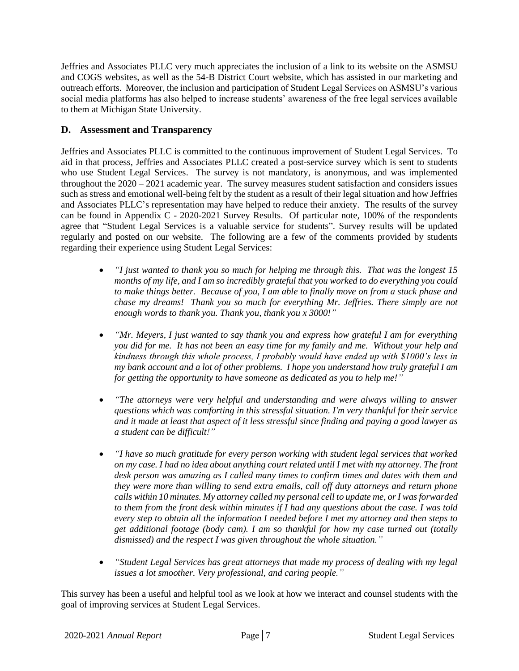Jeffries and Associates PLLC very much appreciates the inclusion of a link to its website on the ASMSU and COGS websites, as well as the 54-B District Court website, which has assisted in our marketing and outreach efforts. Moreover, the inclusion and participation of Student Legal Services on ASMSU's various social media platforms has also helped to increase students' awareness of the free legal services available to them at Michigan State University.

#### <span id="page-8-0"></span>**D. Assessment and Transparency**

Jeffries and Associates PLLC is committed to the continuous improvement of Student Legal Services. To aid in that process, Jeffries and Associates PLLC created a post-service survey which is sent to students who use Student Legal Services. The survey is not mandatory, is anonymous, and was implemented throughout the 2020 – 2021 academic year. The survey measures student satisfaction and considers issues such as stress and emotional well-being felt by the student as a result of their legal situation and how Jeffries and Associates PLLC's representation may have helped to reduce their anxiety. The results of the survey can be found in Appendix C - 2020-2021 Survey Results. Of particular note, 100% of the respondents agree that "Student Legal Services is a valuable service for students". Survey results will be updated regularly and posted on our website. The following are a few of the comments provided by students regarding their experience using Student Legal Services:

- *"I just wanted to thank you so much for helping me through this. That was the longest 15 months of my life, and I am so incredibly grateful that you worked to do everything you could to make things better. Because of you, I am able to finally move on from a stuck phase and chase my dreams! Thank you so much for everything Mr. Jeffries. There simply are not enough words to thank you. Thank you, thank you x 3000!"*
- *"Mr. Meyers, I just wanted to say thank you and express how grateful I am for everything you did for me. It has not been an easy time for my family and me. Without your help and kindness through this whole process, I probably would have ended up with \$1000's less in my bank account and a lot of other problems. I hope you understand how truly grateful I am for getting the opportunity to have someone as dedicated as you to help me!"*
- *"The attorneys were very helpful and understanding and were always willing to answer questions which was comforting in this stressful situation. I'm very thankful for their service and it made at least that aspect of it less stressful since finding and paying a good lawyer as a student can be difficult!"*
- *"I have so much gratitude for every person working with student legal services that worked on my case. I had no idea about anything court related until I met with my attorney. The front desk person was amazing as I called many times to confirm times and dates with them and they were more than willing to send extra emails, call off duty attorneys and return phone calls within 10 minutes. My attorney called my personal cell to update me, or I was forwarded to them from the front desk within minutes if I had any questions about the case. I was told every step to obtain all the information I needed before I met my attorney and then steps to get additional footage (body cam). I am so thankful for how my case turned out (totally dismissed) and the respect I was given throughout the whole situation."*
- *"Student Legal Services has great attorneys that made my process of dealing with my legal issues a lot smoother. Very professional, and caring people."*

This survey has been a useful and helpful tool as we look at how we interact and counsel students with the goal of improving services at Student Legal Services.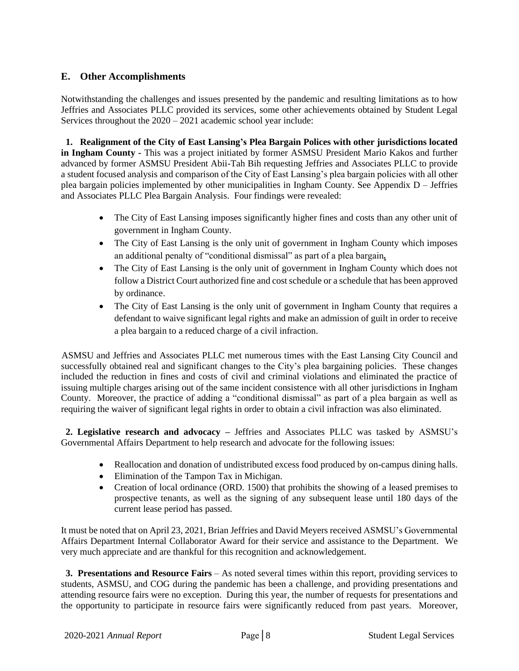#### <span id="page-9-0"></span>**E. Other Accomplishments**

Notwithstanding the challenges and issues presented by the pandemic and resulting limitations as to how Jeffries and Associates PLLC provided its services, some other achievements obtained by Student Legal Services throughout the 2020 – 2021 academic school year include:

**1. Realignment of the City of East Lansing's Plea Bargain Polices with other jurisdictions located in Ingham County -** This was a project initiated by former ASMSU President Mario Kakos and further advanced by former ASMSU President Abii-Tah Bih requesting Jeffries and Associates PLLC to provide a student focused analysis and comparison of the City of East Lansing's plea bargain policies with all other plea bargain policies implemented by other municipalities in Ingham County. See Appendix D – Jeffries and Associates PLLC Plea Bargain Analysis. Four findings were revealed:

- The City of East Lansing imposes significantly higher fines and costs than any other unit of government in Ingham County.
- The City of East Lansing is the only unit of government in Ingham County which imposes an additional penalty of "conditional dismissal" as part of a plea bargain*.*
- The City of East Lansing is the only unit of government in Ingham County which does not follow a District Court authorized fine and cost schedule or a schedule that has been approved by ordinance.
- The City of East Lansing is the only unit of government in Ingham County that requires a defendant to waive significant legal rights and make an admission of guilt in order to receive a plea bargain to a reduced charge of a civil infraction.

 ASMSU and Jeffries and Associates PLLC met numerous times with the East Lansing City Council and successfully obtained real and significant changes to the City's plea bargaining policies. These changes included the reduction in fines and costs of civil and criminal violations and eliminated the practice of issuing multiple charges arising out of the same incident consistence with all other jurisdictions in Ingham County. Moreover, the practice of adding a "conditional dismissal" as part of a plea bargain as well as requiring the waiver of significant legal rights in order to obtain a civil infraction was also eliminated.

 **2. Legislative research and advocacy –** Jeffries and Associates PLLC was tasked by ASMSU's Governmental Affairs Department to help research and advocate for the following issues:

- Reallocation and donation of undistributed excess food produced by on-campus dining halls.
- Elimination of the Tampon Tax in Michigan.
- Creation of local ordinance (ORD. 1500) that prohibits the showing of a leased premises to prospective tenants, as well as the signing of any subsequent lease until 180 days of the current lease period has passed.

It must be noted that on April 23, 2021, Brian Jeffries and David Meyers received ASMSU's Governmental Affairs Department Internal Collaborator Award for their service and assistance to the Department. We very much appreciate and are thankful for this recognition and acknowledgement.

 **3. Presentations and Resource Fairs** – As noted several times within this report, providing services to students, ASMSU, and COG during the pandemic has been a challenge, and providing presentations and attending resource fairs were no exception. During this year, the number of requests for presentations and the opportunity to participate in resource fairs were significantly reduced from past years. Moreover,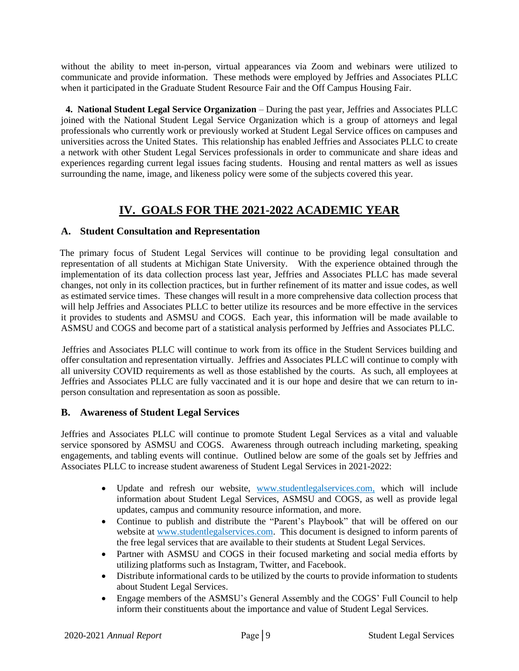without the ability to meet in-person, virtual appearances via Zoom and webinars were utilized to communicate and provide information. These methods were employed by Jeffries and Associates PLLC when it participated in the Graduate Student Resource Fair and the Off Campus Housing Fair.

 **4. National Student Legal Service Organization** – During the past year, Jeffries and Associates PLLC joined with the National Student Legal Service Organization which is a group of attorneys and legal professionals who currently work or previously worked at Student Legal Service offices on campuses and universities across the United States. This relationship has enabled Jeffries and Associates PLLC to create a network with other Student Legal Services professionals in order to communicate and share ideas and experiences regarding current legal issues facing students. Housing and rental matters as well as issues surrounding the name, image, and likeness policy were some of the subjects covered this year.

## **IV. GOALS FOR THE 2021-2022 ACADEMIC YEAR**

#### <span id="page-10-1"></span><span id="page-10-0"></span>**A. Student Consultation and Representation**

 The primary focus of Student Legal Services will continue to be providing legal consultation and representation of all students at Michigan State University. With the experience obtained through the implementation of its data collection process last year, Jeffries and Associates PLLC has made several changes, not only in its collection practices, but in further refinement of its matter and issue codes, as well as estimated service times. These changes will result in a more comprehensive data collection process that will help Jeffries and Associates PLLC to better utilize its resources and be more effective in the services it provides to students and ASMSU and COGS. Each year, this information will be made available to ASMSU and COGS and become part of a statistical analysis performed by Jeffries and Associates PLLC.

 Jeffries and Associates PLLC will continue to work from its office in the Student Services building and offer consultation and representation virtually. Jeffries and Associates PLLC will continue to comply with all university COVID requirements as well as those established by the courts. As such, all employees at Jeffries and Associates PLLC are fully vaccinated and it is our hope and desire that we can return to inperson consultation and representation as soon as possible.

#### <span id="page-10-2"></span>**B. Awareness of Student Legal Services**

Jeffries and Associates PLLC will continue to promote Student Legal Services as a vital and valuable service sponsored by ASMSU and COGS. Awareness through outreach including marketing, speaking engagements, and tabling events will continue. Outlined below are some of the goals set by Jeffries and Associates PLLC to increase student awareness of Student Legal Services in 2021-2022:

- Update and refresh our website, [www.studentlegalservices.com,](http://www.studentlegalservices.com/) which will include information about Student Legal Services, ASMSU and COGS, as well as provide legal updates, campus and community resource information, and more.
- Continue to publish and distribute the "Parent's Playbook" that will be offered on our website at [www.studentlegalservices.com.](http://www.studentlegalservices.com/) This document is designed to inform parents of the free legal services that are available to their students at Student Legal Services.
- Partner with ASMSU and COGS in their focused marketing and social media efforts by utilizing platforms such as Instagram, Twitter, and Facebook.
- Distribute informational cards to be utilized by the courts to provide information to students about Student Legal Services.
- Engage members of the ASMSU's General Assembly and the COGS' Full Council to help inform their constituents about the importance and value of Student Legal Services.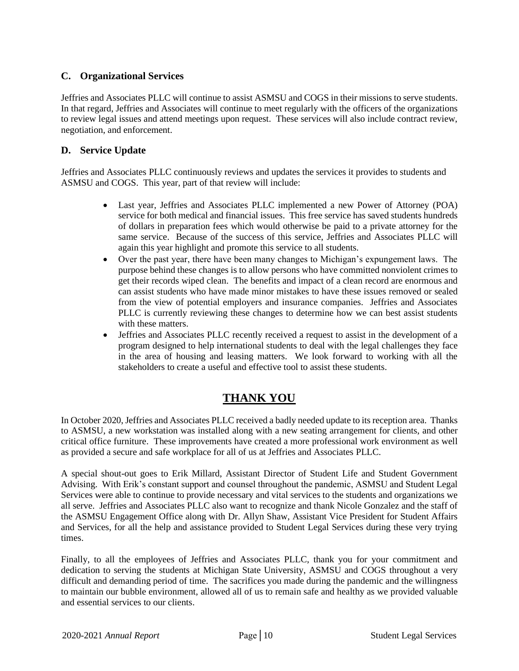#### <span id="page-11-0"></span>**C. Organizational Services**

Jeffries and Associates PLLC will continue to assist ASMSU and COGS in their missions to serve students. In that regard, Jeffries and Associates will continue to meet regularly with the officers of the organizations to review legal issues and attend meetings upon request. These services will also include contract review, negotiation, and enforcement.

#### <span id="page-11-1"></span>**D. Service Update**

Jeffries and Associates PLLC continuously reviews and updates the services it provides to students and ASMSU and COGS. This year, part of that review will include:

- Last year, Jeffries and Associates PLLC implemented a new Power of Attorney (POA) service for both medical and financial issues. This free service has saved students hundreds of dollars in preparation fees which would otherwise be paid to a private attorney for the same service. Because of the success of this service, Jeffries and Associates PLLC will again this year highlight and promote this service to all students.
- Over the past year, there have been many changes to Michigan's expungement laws. The purpose behind these changes is to allow persons who have committed nonviolent crimes to get their records wiped clean. The benefits and impact of a clean record are enormous and can assist students who have made minor mistakes to have these issues removed or sealed from the view of potential employers and insurance companies. Jeffries and Associates PLLC is currently reviewing these changes to determine how we can best assist students with these matters.
- Jeffries and Associates PLLC recently received a request to assist in the development of a program designed to help international students to deal with the legal challenges they face in the area of housing and leasing matters. We look forward to working with all the stakeholders to create a useful and effective tool to assist these students.

## **THANK YOU**

<span id="page-11-2"></span>In October 2020, Jeffries and Associates PLLC received a badly needed update to its reception area. Thanks to ASMSU, a new workstation was installed along with a new seating arrangement for clients, and other critical office furniture. These improvements have created a more professional work environment as well as provided a secure and safe workplace for all of us at Jeffries and Associates PLLC.

A special shout-out goes to Erik Millard, Assistant Director of Student Life and Student Government Advising. With Erik's constant support and counsel throughout the pandemic, ASMSU and Student Legal Services were able to continue to provide necessary and vital services to the students and organizations we all serve. Jeffries and Associates PLLC also want to recognize and thank Nicole Gonzalez and the staff of the ASMSU Engagement Office along with Dr. Allyn Shaw, Assistant Vice President for Student Affairs and Services, for all the help and assistance provided to Student Legal Services during these very trying times.

Finally, to all the employees of Jeffries and Associates PLLC, thank you for your commitment and dedication to serving the students at Michigan State University, ASMSU and COGS throughout a very difficult and demanding period of time. The sacrifices you made during the pandemic and the willingness to maintain our bubble environment, allowed all of us to remain safe and healthy as we provided valuable and essential services to our clients.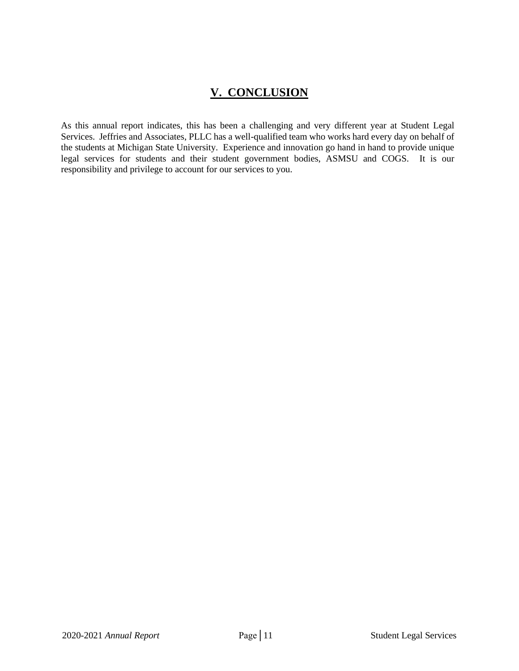## **V. CONCLUSION**

<span id="page-12-0"></span>As this annual report indicates, this has been a challenging and very different year at Student Legal Services. Jeffries and Associates, PLLC has a well-qualified team who works hard every day on behalf of the students at Michigan State University. Experience and innovation go hand in hand to provide unique legal services for students and their student government bodies, ASMSU and COGS. It is our responsibility and privilege to account for our services to you.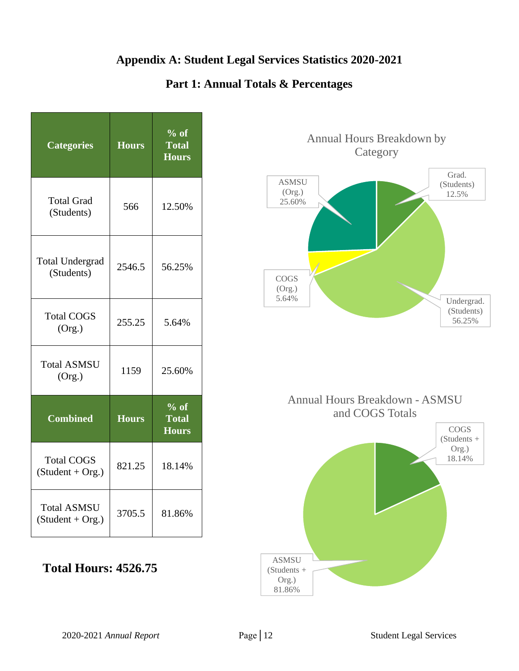## **Appendix A: Student Legal Services Statistics 2020-2021**

### **Part 1: Annual Totals & Percentages**

<span id="page-13-1"></span><span id="page-13-0"></span>

| <b>Categories</b>                        | <b>Hours</b> | $%$ of<br><b>Total</b><br><b>Hours</b> |
|------------------------------------------|--------------|----------------------------------------|
| <b>Total Grad</b><br>(Students)          | 566          | 12.50%                                 |
| <b>Total Undergrad</b><br>(Students)     | 2546.5       | 56.25%                                 |
| <b>Total COGS</b><br>(Org.)              | 255.25       | 5.64%                                  |
| <b>Total ASMSU</b><br>(Org.)             | 1159         | 25.60%                                 |
| <b>Combined</b>                          | <b>Hours</b> | $%$ of<br><b>Total</b><br><b>Hours</b> |
| <b>Total COGS</b><br>$(Student + Org.)$  | 821.25       | 18.14%                                 |
| <b>Total ASMSU</b><br>$(Student + Org.)$ | 3705.5       | 81.86%                                 |

## **Total Hours: 4526.75**



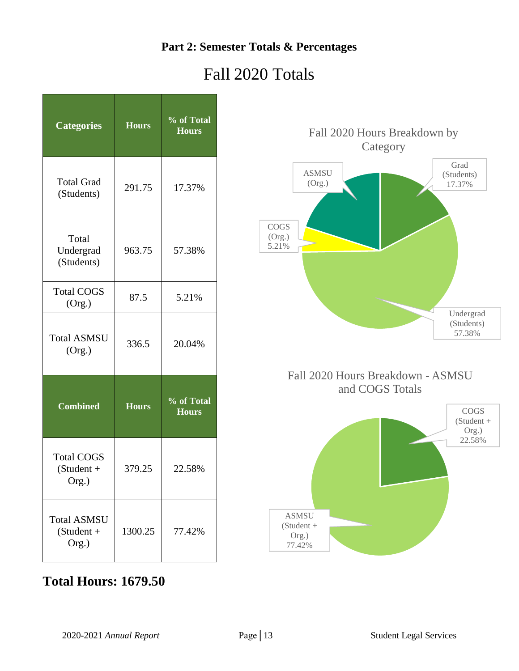## **Part 2: Semester Totals & Percentages**

## Fall 2020 Totals

<span id="page-14-0"></span>

| <b>Categories</b>                           | <b>Hours</b> | % of Total<br><b>Hours</b> |
|---------------------------------------------|--------------|----------------------------|
| <b>Total Grad</b><br>(Students)             | 291.75       | 17.37%                     |
| Total<br>Undergrad<br>(Students)            | 963.75       | 57.38%                     |
| <b>Total COGS</b><br>(Org.)                 | 87.5         | 5.21%                      |
| <b>Total ASMSU</b><br>(Org.)                | 336.5        | 20.04%                     |
| <b>Combined</b>                             | <b>Hours</b> | % of Total<br><b>Hours</b> |
| <b>Total COGS</b><br>$(Student +$<br>Org.)  | 379.25       | 22.58%                     |
| <b>Total ASMSU</b><br>$(Student +$<br>Org.) | 1300.25      | 77.42%                     |



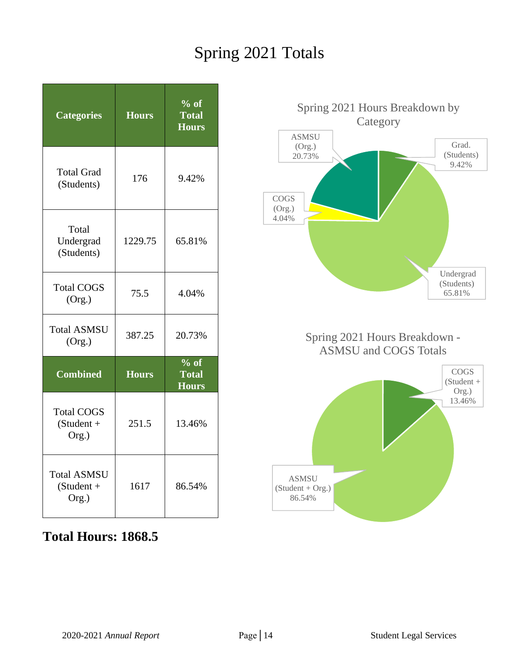## Spring 2021 Totals

| <b>Categories</b>                           | <b>Hours</b> | $%$ of<br><b>Total</b><br><b>Hours</b> |
|---------------------------------------------|--------------|----------------------------------------|
| <b>Total Grad</b><br>(Students)             | 176          | 9.42%                                  |
| Total<br>Undergrad<br>(Students)            | 1229.75      | 65.81%                                 |
| <b>Total COGS</b><br>(Org.)                 | 75.5         | 4.04%                                  |
| <b>Total ASMSU</b><br>(Org.)                | 387.25       | 20.73%                                 |
| <b>Combined</b>                             | <b>Hours</b> | $%$ of<br><b>Total</b><br><b>Hours</b> |
| <b>Total COGS</b><br>$(Student +$<br>Org.)  | 251.5        | 13.46%                                 |
| <b>Total ASMSU</b><br>$(Student +$<br>Org.) | 1617         | 86.54%                                 |

## **Total Hours: 1868.5**

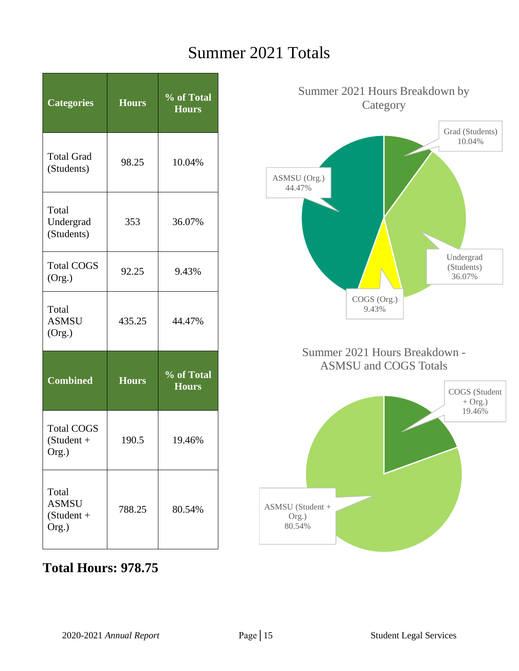## Summer 2021 Totals

| <b>Categories</b>                              | <b>Hours</b> | % of Total<br><b>Hours</b>               |
|------------------------------------------------|--------------|------------------------------------------|
| <b>Total Grad</b><br>(Students)                | 98.25        | 10.04%                                   |
| Total<br>Undergrad<br>(Students)               | 353          | 36.07%                                   |
| <b>Total COGS</b><br>(Org.)                    | 92.25        | 9.43%                                    |
| Total<br><b>ASMSU</b><br>(Org.)                | 435.25       | 44.47%                                   |
| <b>Combined</b>                                | <b>Hours</b> | $\frac{6}{100}$ of Total<br><b>Hours</b> |
| <b>Total COGS</b><br>$(Student +$<br>Org.)     | 190.5        | 19.46%                                   |
| Total<br><b>ASMSU</b><br>$(Student +$<br>Org.) | 788.25       | 80.54%                                   |

# Grad (Students) 10.04% Undergrad (Students) 36.07% COGS (Org.) 9.43% ASMSU (Org.) 44.47% Summer 2021 Hours Breakdown by Category COGS (Student  $+$  Org.) 19.46% ASMSU (Student + Org.) 80.54% Summer 2021 Hours Breakdown - ASMSU and COGS Totals

## **Total Hours: 978.75**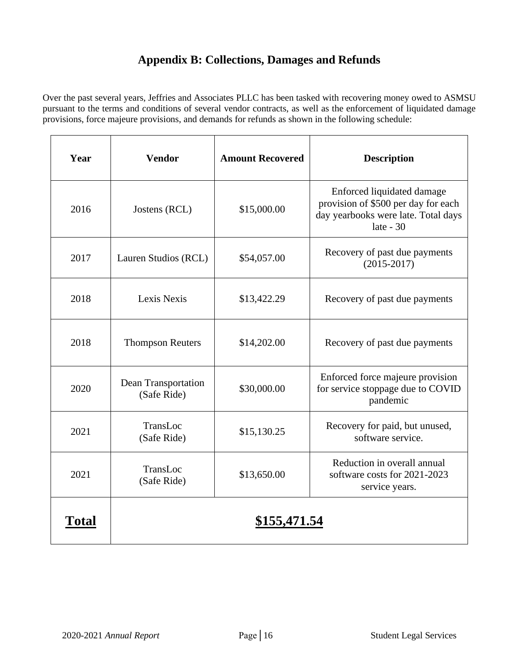## **Appendix B: Collections, Damages and Refunds**

<span id="page-17-0"></span>Over the past several years, Jeffries and Associates PLLC has been tasked with recovering money owed to ASMSU pursuant to the terms and conditions of several vendor contracts, as well as the enforcement of liquidated damage provisions, force majeure provisions, and demands for refunds as shown in the following schedule:

| Year  | <b>Vendor</b>                      | <b>Amount Recovered</b> | <b>Description</b>                                                                                                      |
|-------|------------------------------------|-------------------------|-------------------------------------------------------------------------------------------------------------------------|
| 2016  | Jostens (RCL)                      | \$15,000.00             | Enforced liquidated damage<br>provision of \$500 per day for each<br>day yearbooks were late. Total days<br>late - $30$ |
| 2017  | Lauren Studios (RCL)               | \$54,057.00             | Recovery of past due payments<br>$(2015 - 2017)$                                                                        |
| 2018  | Lexis Nexis                        | \$13,422.29             | Recovery of past due payments                                                                                           |
| 2018  | <b>Thompson Reuters</b>            | \$14,202.00             | Recovery of past due payments                                                                                           |
| 2020  | Dean Transportation<br>(Safe Ride) | \$30,000.00             | Enforced force majeure provision<br>for service stoppage due to COVID<br>pandemic                                       |
| 2021  | TransLoc<br>(Safe Ride)            | \$15,130.25             | Recovery for paid, but unused,<br>software service.                                                                     |
| 2021  | TransLoc<br>(Safe Ride)            | \$13,650.00             | Reduction in overall annual<br>software costs for 2021-2023<br>service years.                                           |
| Total |                                    | \$155,471.54            |                                                                                                                         |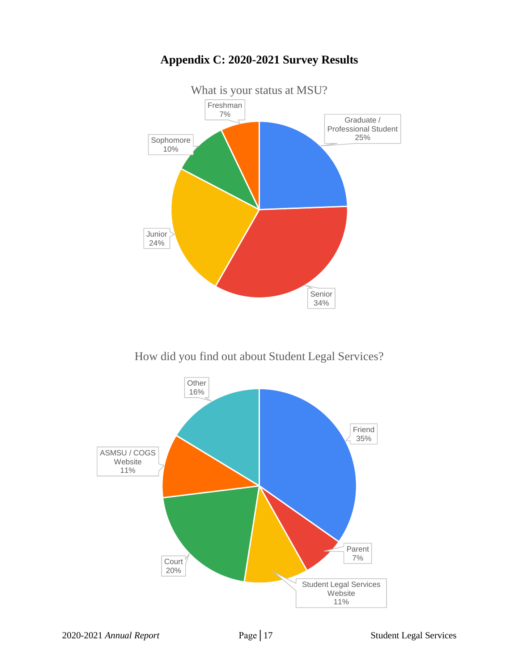<span id="page-18-0"></span>

## **Appendix C: 2020-2021 Survey Results**

How did you find out about Student Legal Services?

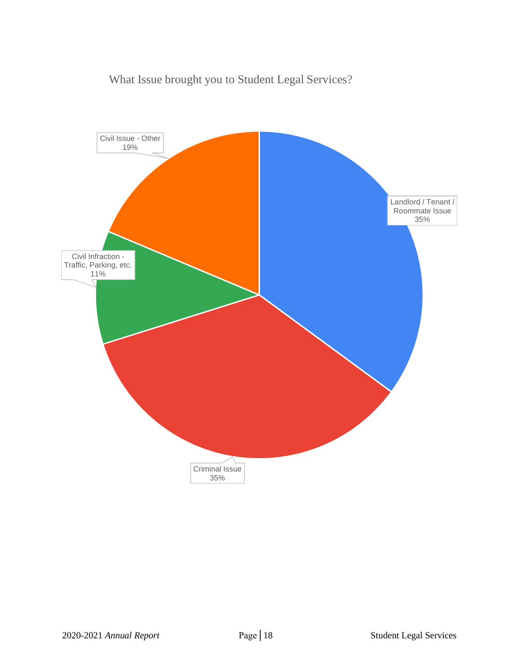## What Issue brought you to Student Legal Services?

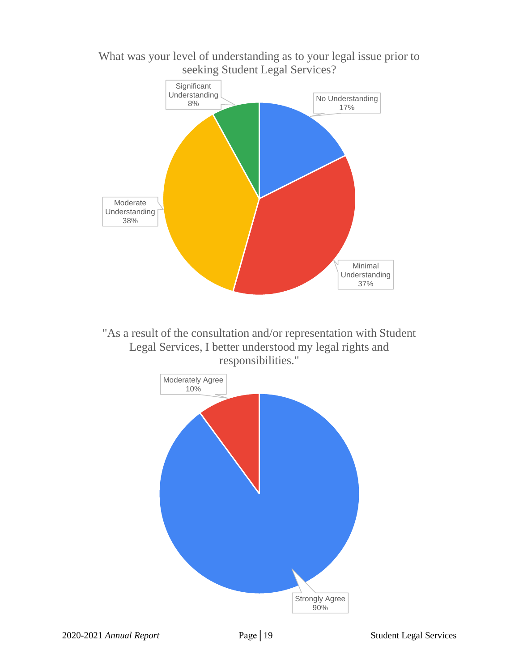

What was your level of understanding as to your legal issue prior to seeking Student Legal Services?

> Strongly Agree 90%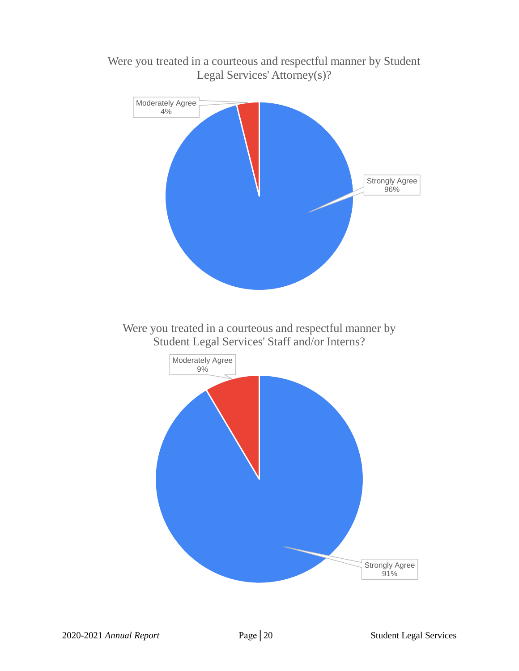

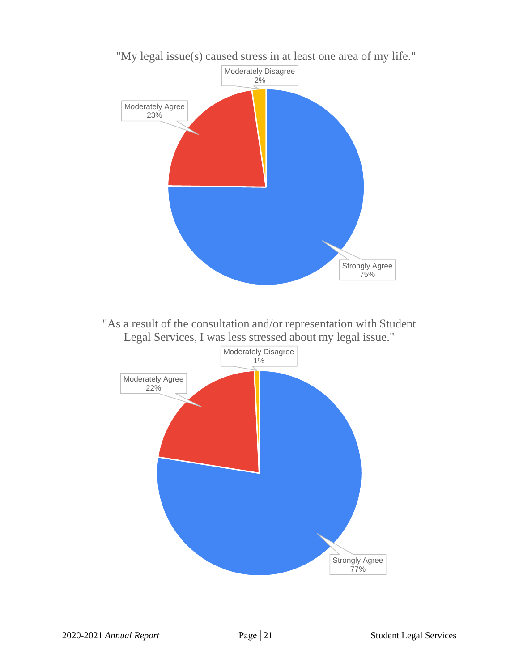

"My legal issue(s) caused stress in at least one area of my life."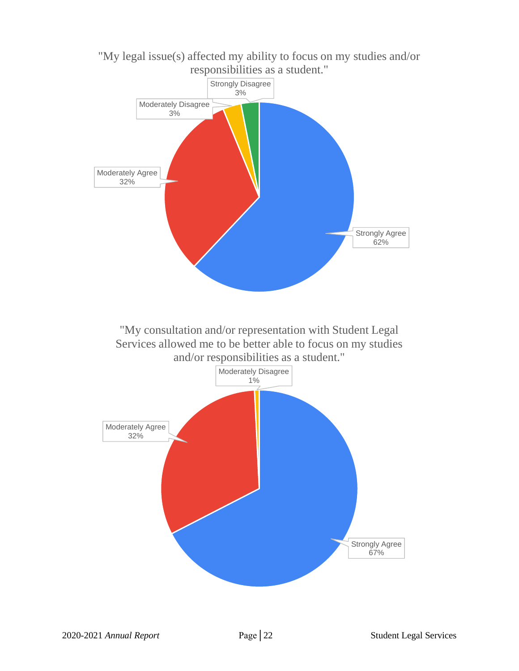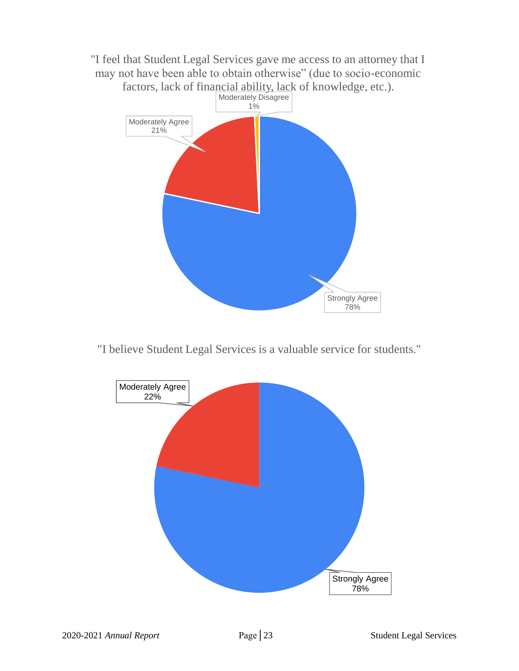

"I believe Student Legal Services is a valuable service for students."

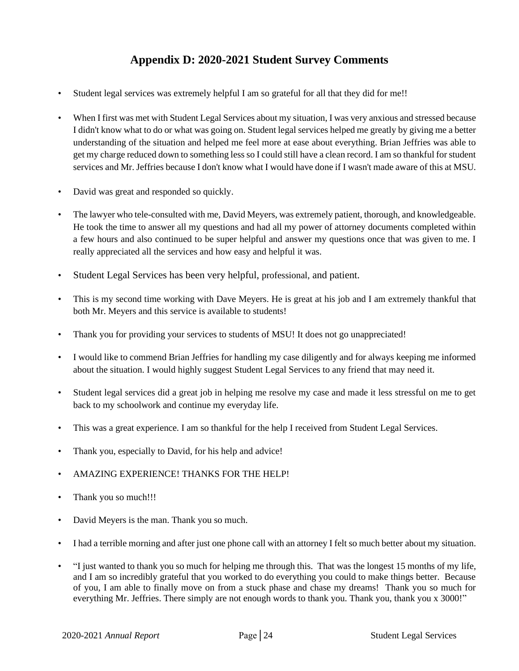## **Appendix D: 2020-2021 Student Survey Comments**

- <span id="page-25-0"></span>• Student legal services was extremely helpful I am so grateful for all that they did for me!!
- When I first was met with Student Legal Services about my situation, I was very anxious and stressed because I didn't know what to do or what was going on. Student legal services helped me greatly by giving me a better understanding of the situation and helped me feel more at ease about everything. Brian Jeffries was able to get my charge reduced down to something less so I could still have a clean record. I am so thankful for student services and Mr. Jeffries because I don't know what I would have done if I wasn't made aware of this at MSU.
- David was great and responded so quickly.
- The lawyer who tele-consulted with me, David Meyers, was extremely patient, thorough, and knowledgeable. He took the time to answer all my questions and had all my power of attorney documents completed within a few hours and also continued to be super helpful and answer my questions once that was given to me. I really appreciated all the services and how easy and helpful it was.
- Student Legal Services has been very helpful, professional, and patient.
- This is my second time working with Dave Meyers. He is great at his job and I am extremely thankful that both Mr. Meyers and this service is available to students!
- Thank you for providing your services to students of MSU! It does not go unappreciated!
- I would like to commend Brian Jeffries for handling my case diligently and for always keeping me informed about the situation. I would highly suggest Student Legal Services to any friend that may need it.
- Student legal services did a great job in helping me resolve my case and made it less stressful on me to get back to my schoolwork and continue my everyday life.
- This was a great experience. I am so thankful for the help I received from Student Legal Services.
- Thank you, especially to David, for his help and advice!
- AMAZING EXPERIENCE! THANKS FOR THE HELP!
- Thank you so much!!!
- David Meyers is the man. Thank you so much.
- I had a terrible morning and after just one phone call with an attorney I felt so much better about my situation.
- "I just wanted to thank you so much for helping me through this. That was the longest 15 months of my life, and I am so incredibly grateful that you worked to do everything you could to make things better. Because of you, I am able to finally move on from a stuck phase and chase my dreams! Thank you so much for everything Mr. Jeffries. There simply are not enough words to thank you. Thank you, thank you x 3000!"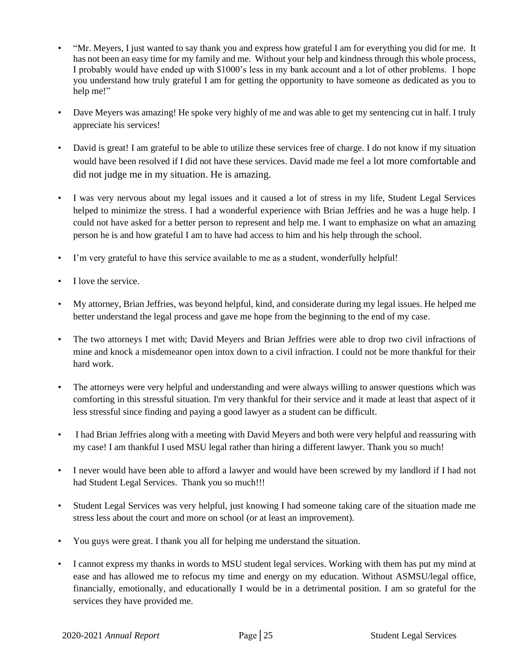- "Mr. Meyers, I just wanted to say thank you and express how grateful I am for everything you did for me. It has not been an easy time for my family and me. Without your help and kindness through this whole process, I probably would have ended up with \$1000's less in my bank account and a lot of other problems. I hope you understand how truly grateful I am for getting the opportunity to have someone as dedicated as you to help me!"
- Dave Meyers was amazing! He spoke very highly of me and was able to get my sentencing cut in half. I truly appreciate his services!
- David is great! I am grateful to be able to utilize these services free of charge. I do not know if my situation would have been resolved if I did not have these services. David made me feel a lot more comfortable and did not judge me in my situation. He is amazing.
- I was very nervous about my legal issues and it caused a lot of stress in my life, Student Legal Services helped to minimize the stress. I had a wonderful experience with Brian Jeffries and he was a huge help. I could not have asked for a better person to represent and help me. I want to emphasize on what an amazing person he is and how grateful I am to have had access to him and his help through the school.
- I'm very grateful to have this service available to me as a student, wonderfully helpful!
- I love the service.
- My attorney, Brian Jeffries, was beyond helpful, kind, and considerate during my legal issues. He helped me better understand the legal process and gave me hope from the beginning to the end of my case.
- The two attorneys I met with; David Meyers and Brian Jeffries were able to drop two civil infractions of mine and knock a misdemeanor open intox down to a civil infraction. I could not be more thankful for their hard work.
- The attorneys were very helpful and understanding and were always willing to answer questions which was comforting in this stressful situation. I'm very thankful for their service and it made at least that aspect of it less stressful since finding and paying a good lawyer as a student can be difficult.
- I had Brian Jeffries along with a meeting with David Meyers and both were very helpful and reassuring with my case! I am thankful I used MSU legal rather than hiring a different lawyer. Thank you so much!
- I never would have been able to afford a lawyer and would have been screwed by my landlord if I had not had Student Legal Services. Thank you so much!!!
- Student Legal Services was very helpful, just knowing I had someone taking care of the situation made me stress less about the court and more on school (or at least an improvement).
- You guys were great. I thank you all for helping me understand the situation.
- I cannot express my thanks in words to MSU student legal services. Working with them has put my mind at ease and has allowed me to refocus my time and energy on my education. Without ASMSU/legal office, financially, emotionally, and educationally I would be in a detrimental position. I am so grateful for the services they have provided me.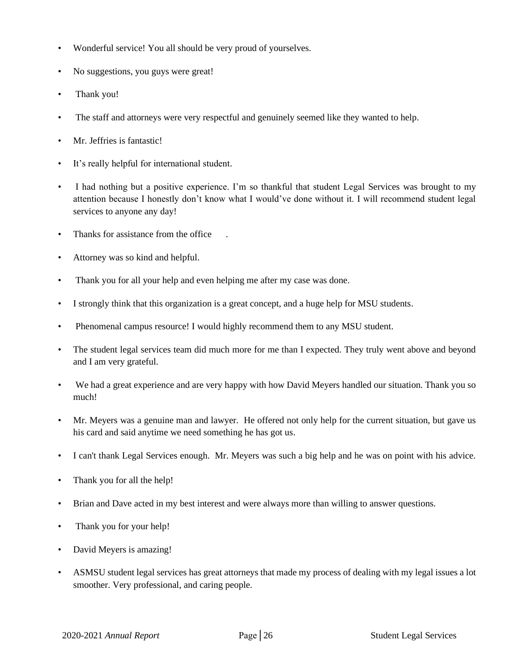- Wonderful service! You all should be very proud of yourselves.
- No suggestions, you guys were great!
- Thank you!
- The staff and attorneys were very respectful and genuinely seemed like they wanted to help.
- Mr. Jeffries is fantastic!
- It's really helpful for international student.
- I had nothing but a positive experience. I'm so thankful that student Legal Services was brought to my attention because I honestly don't know what I would've done without it. I will recommend student legal services to anyone any day!
- Thanks for assistance from the office
- Attorney was so kind and helpful.
- Thank you for all your help and even helping me after my case was done.
- I strongly think that this organization is a great concept, and a huge help for MSU students.
- Phenomenal campus resource! I would highly recommend them to any MSU student.
- The student legal services team did much more for me than I expected. They truly went above and beyond and I am very grateful.
- We had a great experience and are very happy with how David Meyers handled our situation. Thank you so much!
- Mr. Meyers was a genuine man and lawyer. He offered not only help for the current situation, but gave us his card and said anytime we need something he has got us.
- I can't thank Legal Services enough. Mr. Meyers was such a big help and he was on point with his advice.
- Thank you for all the help!
- Brian and Dave acted in my best interest and were always more than willing to answer questions.
- Thank you for your help!
- David Meyers is amazing!
- ASMSU student legal services has great attorneys that made my process of dealing with my legal issues a lot smoother. Very professional, and caring people.